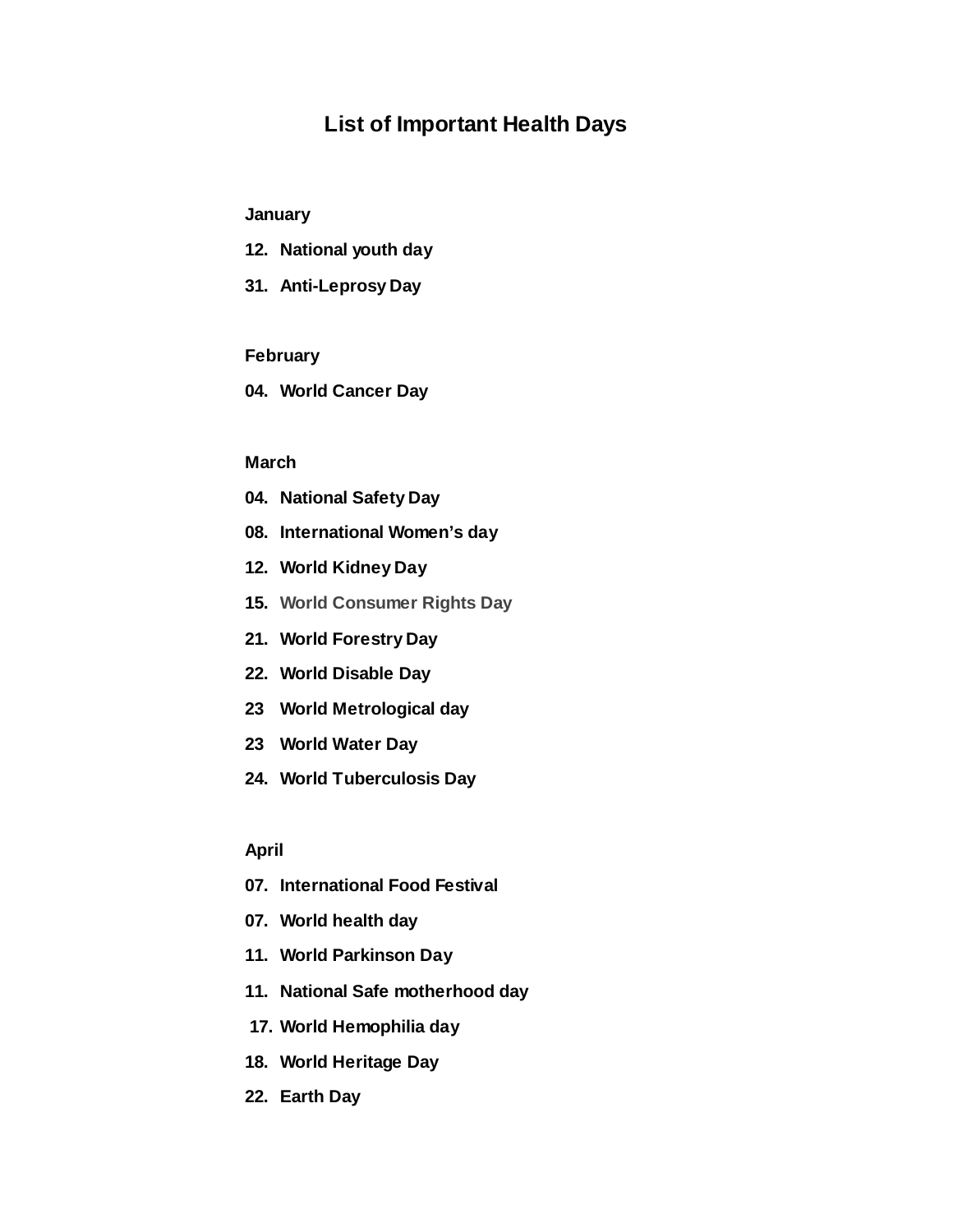# **List of Important Health Days**

# **January**

- **12. National youth day**
- **31. Anti-Leprosy Day**

### **February**

**04. World Cancer Day**

### **March**

- **04. National Safety Day**
- **08. International Women's day**
- **12. World Kidney Day**
- **15. World Consumer Rights Day**
- **21. World Forestry Day**
- **22. World Disable Day**
- **23 World Metrological day**
- **23 World Water Day**
- **24. World Tuberculosis Day**

#### **April**

- **07. International Food Festival**
- **07. World health day**
- **11. World Parkinson Day**
- **11. National Safe motherhood day**
- **17. World Hemophilia day**
- **18. World Heritage Day**
- **22. Earth Day**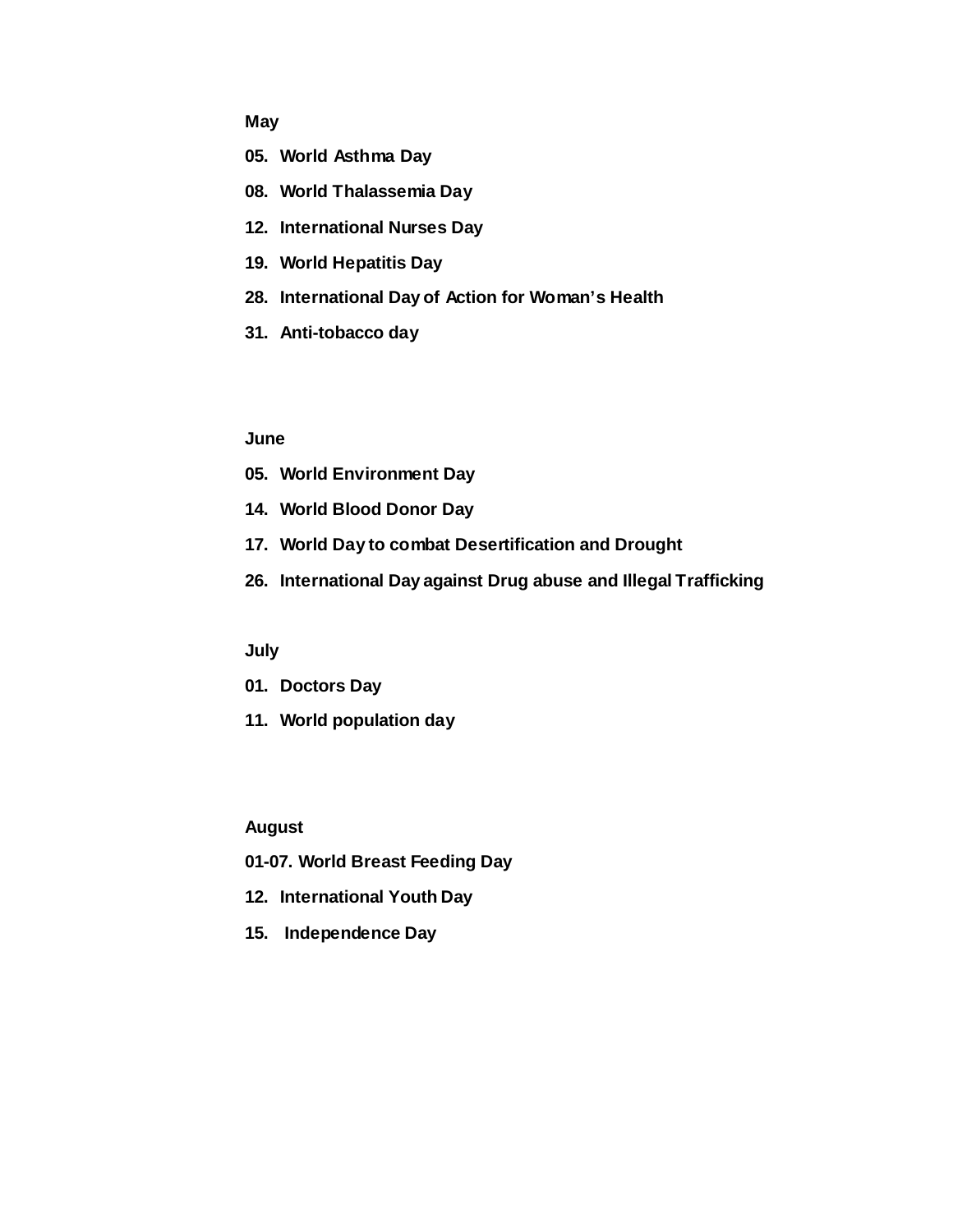# **May**

- **05. World Asthma Day**
- **08. World Thalassemia Day**
- **12. International Nurses Day**
- **19. World Hepatitis Day**
- **28. International Day of Action for Woman's Health**
- **31. Anti-tobacco day**

### **June**

- **05. World Environment Day**
- **14. World Blood Donor Day**
- **17. World Day to combat Desertification and Drought**
- **26. International Day against Drug abuse and Illegal Trafficking**

# **July**

- **01. Doctors Day**
- **11. World population day**

### **August**

- **01-07. World Breast Feeding Day**
- **12. International Youth Day**
- **15. Independence Day**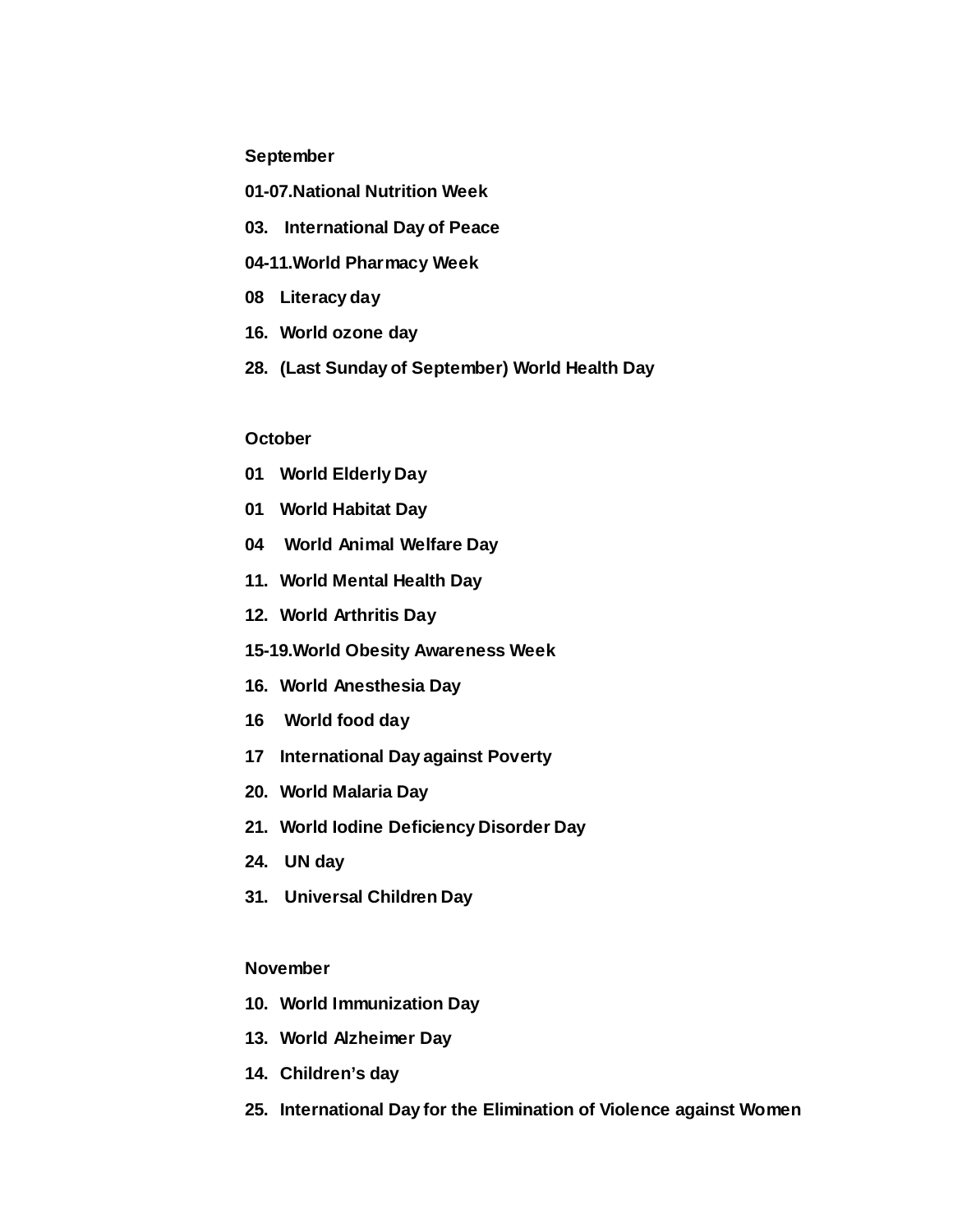### **September**

- **01-07.National Nutrition Week**
- **03. International Day of Peace**
- **04-11.World Pharmacy Week**
- **08 Literacy day**
- **16. World ozone day**
- **28. (Last Sunday of September) World Health Day**

### **October**

- **01 World Elderly Day**
- **01 World Habitat Day**
- **04 World Animal Welfare Day**
- **11. World Mental Health Day**
- **12. World Arthritis Day**
- **15-19.World Obesity Awareness Week**
- **16. World Anesthesia Day**
- **16 World food day**
- **17 International Day against Poverty**
- **20. World Malaria Day**
- **21. World Iodine Deficiency Disorder Day**
- **24. UN day**
- **31. Universal Children Day**

## **November**

- **10. World Immunization Day**
- **13. World Alzheimer Day**
- **14. Children's day**
- **25. International Day for the Elimination of Violence against Women**